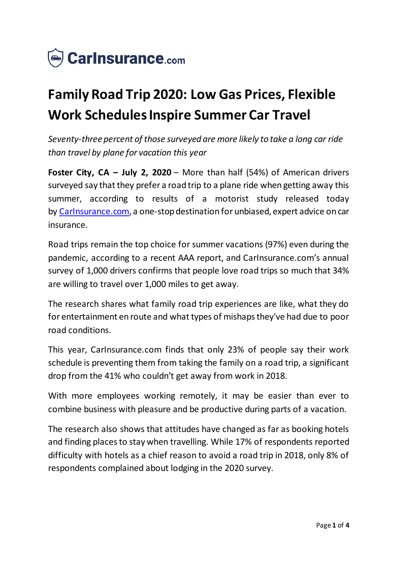

# **Family Road Trip 2020: Low Gas Prices, Flexible Work Schedules Inspire Summer Car Travel**

*Seventy-three percent of those surveyed are more likely to take a long car ride than travel by plane for vacation this year*

**Foster City, CA – July 2, 2020** – More than half (54%) of American drivers surveyed say that they prefer a road trip to a plane ride when getting away this summer, according to results of a motorist study released today by [CarInsurance.com,](https://www.carinsurance.com/) a one-stop destination for unbiased, expert advice on car insurance.

Road trips remain the top choice for summer vacations (97%) even during the pandemic, according to a recent AAA report, and CarInsurance.com's annual survey of 1,000 drivers confirms that people love road trips so much that 34% are willing to travel over 1,000 miles to get away.

The research shares what family road trip experiences are like, what they do for entertainment en route and what types of mishaps they've had due to poor road conditions.

This year, CarInsurance.com finds that only 23% of people say their work schedule is preventing them from taking the family on a road trip, a significant drop from the 41% who couldn't get away from work in 2018.

With more employees working remotely, it may be easier than ever to combine business with pleasure and be productive during parts of a vacation.

The research also shows that attitudes have changed as far as booking hotels and finding places to stay when travelling. While 17% of respondents reported difficulty with hotels as a chief reason to avoid a road trip in 2018, only 8% of respondents complained about lodging in the 2020 survey.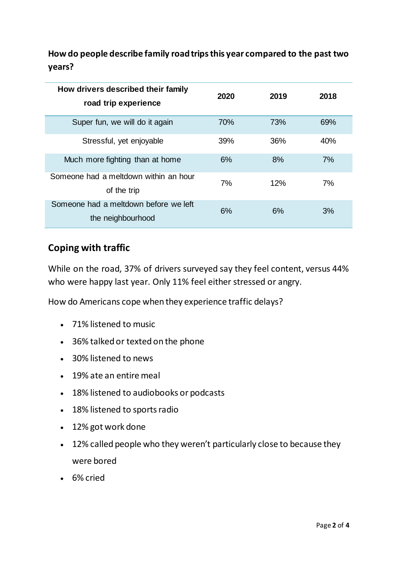**How do people describe family road trips this year compared to the past two years?**

| How drivers described their family<br>road trip experience | 2020 | 2019 | 2018 |
|------------------------------------------------------------|------|------|------|
| Super fun, we will do it again                             | 70%  | 73%  | 69%  |
| Stressful, yet enjoyable                                   | 39%  | 36%  | 40%  |
| Much more fighting than at home                            | 6%   | 8%   | 7%   |
| Someone had a meltdown within an hour<br>of the trip       | 7%   | 12%  | 7%   |
| Someone had a meltdown before we left<br>the neighbourhood | 6%   | 6%   | 3%   |

### **Coping with traffic**

While on the road, 37% of drivers surveyed say they feel content, versus 44% who were happy last year. Only 11% feel either stressed or angry.

How do Americans cope when they experience traffic delays?

- 71% listened to music
- 36% talked or texted on the phone
- 30% listened to news
- 19% ate an entire meal
- 18% listened to audiobooks or podcasts
- 18% listened to sports radio
- 12% got work done
- 12% called people who they weren't particularly close to because they were bored
- 6% cried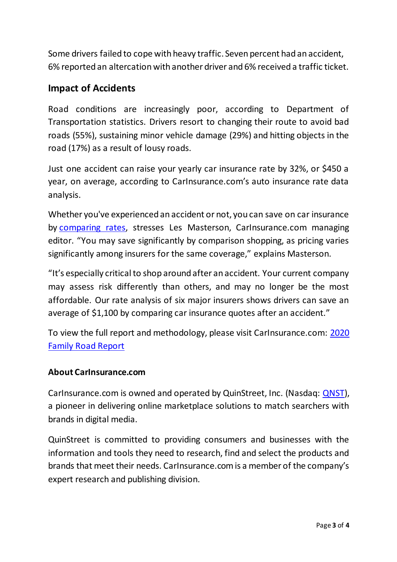Some drivers failed to cope with heavy traffic. Seven percent had an accident, 6% reported an altercation with another driver and 6% received a traffic ticket.

## **Impact of Accidents**

Road conditions are increasingly poor, according to Department of Transportation statistics. Drivers resort to changing their route to avoid bad roads (55%), sustaining minor vehicle damage (29%) and hitting objects in the road (17%) as a result of lousy roads.

Just one accident can raise your yearly car insurance rate by 32%, or \$450 a year, on average, according to CarInsurance.com's auto insurance rate data analysis.

Whether you've experienced an accident or not, you can save on car insurance by [comparing rates,](https://www.carinsurance.com/car-insurance-comparison.aspx) stresses Les Masterson, Carlnsurance.com managing editor. "You may save significantly by comparison shopping, as pricing varies significantly among insurers for the same coverage," explains Masterson.

"It's especially critical to shop around after an accident. Your current company may assess risk differently than others, and may no longer be the most affordable. Our rate analysis of six major insurers shows drivers can save an average of \$1,100 by comparing car insurance quotes after an accident."

To view the full report and methodology, please visit CarInsurance.com: [2020](https://www.carinsurance.com/Articles/family-road-trip-report)  [Family Road Report](https://www.carinsurance.com/Articles/family-road-trip-report)

#### **About CarInsurance.com**

CarInsurance.com is owned and operated by QuinStreet, Inc. (Nasdaq: [QNST\)](https://www.globenewswire.com/Tracker?data=nIE80Pg4a4CF_2hibnrCwRdYrY-HFtd7HRKnYBpfLjdk8-fWdjzFAv5PNFXp51BdodbCvC6QVxm_2Yue2ZEIsw==), a pioneer in delivering online marketplace solutions to match searchers with brands in digital media.

QuinStreet is committed to providing consumers and businesses with the information and tools they need to research, find and select the products and brands that meet their needs. CarInsurance.com is a member of the company's expert research and publishing division.